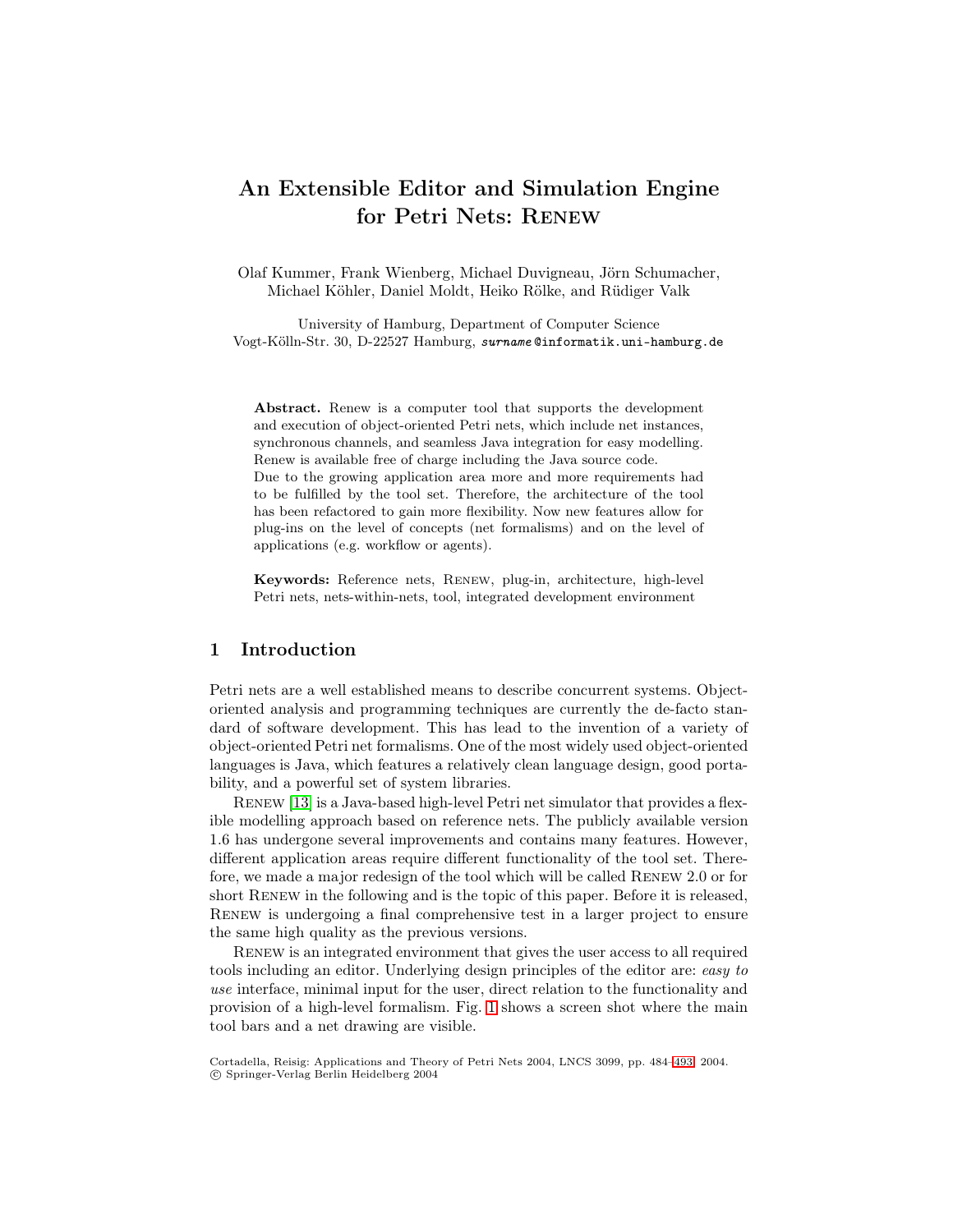# An Extensible Editor and Simulation Engine for Petri Nets: Renew

Olaf Kummer, Frank Wienberg, Michael Duvigneau, Jörn Schumacher, Michael Köhler, Daniel Moldt, Heiko Rölke, and Rüdiger Valk

University of Hamburg, Department of Computer Science Vogt-Kölln-Str. 30, D-22527 Hamburg, surname @informatik.uni-hamburg.de

Abstract. Renew is a computer tool that supports the development and execution of object-oriented Petri nets, which include net instances, synchronous channels, and seamless Java integration for easy modelling. Renew is available free of charge including the Java source code. Due to the growing application area more and more requirements had to be fulfilled by the tool set. Therefore, the architecture of the tool has been refactored to gain more flexibility. Now new features allow for plug-ins on the level of concepts (net formalisms) and on the level of applications (e.g. workflow or agents).

Keywords: Reference nets, Renew, plug-in, architecture, high-level Petri nets, nets-within-nets, tool, integrated development environment

# 1 Introduction

Petri nets are a well established means to describe concurrent systems. Objectoriented analysis and programming techniques are currently the de-facto standard of software development. This has lead to the invention of a variety of object-oriented Petri net formalisms. One of the most widely used object-oriented languages is Java, which features a relatively clean language design, good portability, and a powerful set of system libraries.

Renew [\[13\]](#page-9-0) is a Java-based high-level Petri net simulator that provides a flexible modelling approach based on reference nets. The publicly available version 1.6 has undergone several improvements and contains many features. However, different application areas require different functionality of the tool set. Therefore, we made a major redesign of the tool which will be called Renew 2.0 or for short RENEW in the following and is the topic of this paper. Before it is released, Renew is undergoing a final comprehensive test in a larger project to ensure the same high quality as the previous versions.

Renew is an integrated environment that gives the user access to all required tools including an editor. Underlying design principles of the editor are: easy to use interface, minimal input for the user, direct relation to the functionality and provision of a high-level formalism. Fig. [1](#page-1-0) shows a screen shot where the main tool bars and a net drawing are visible.

Cortadella, Reisig: Applications and Theory of Petri Nets 2004, LNCS 3099, pp. 484[–493,](#page-8-0) 2004. c Springer-Verlag Berlin Heidelberg 2004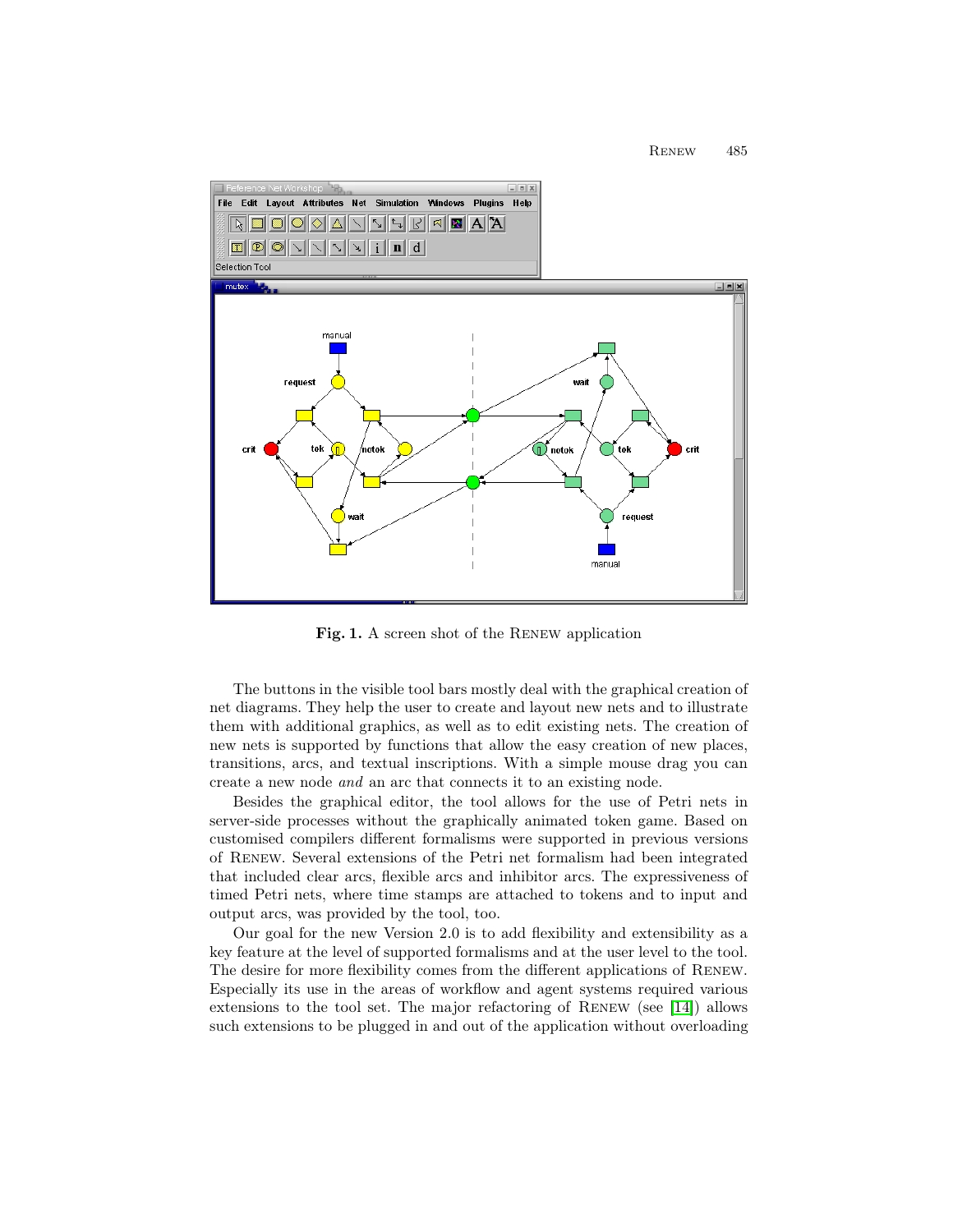

<span id="page-1-0"></span>Fig. 1. A screen shot of the Renew application

The buttons in the visible tool bars mostly deal with the graphical creation of net diagrams. They help the user to create and layout new nets and to illustrate them with additional graphics, as well as to edit existing nets. The creation of new nets is supported by functions that allow the easy creation of new places, transitions, arcs, and textual inscriptions. With a simple mouse drag you can create a new node and an arc that connects it to an existing node.

Besides the graphical editor, the tool allows for the use of Petri nets in server-side processes without the graphically animated token game. Based on customised compilers different formalisms were supported in previous versions of Renew. Several extensions of the Petri net formalism had been integrated that included clear arcs, flexible arcs and inhibitor arcs. The expressiveness of timed Petri nets, where time stamps are attached to tokens and to input and output arcs, was provided by the tool, too.

Our goal for the new Version 2.0 is to add flexibility and extensibility as a key feature at the level of supported formalisms and at the user level to the tool. The desire for more flexibility comes from the different applications of Renew. Especially its use in the areas of workflow and agent systems required various extensions to the tool set. The major refactoring of Renew (see [\[14\]](#page-9-1)) allows such extensions to be plugged in and out of the application without overloading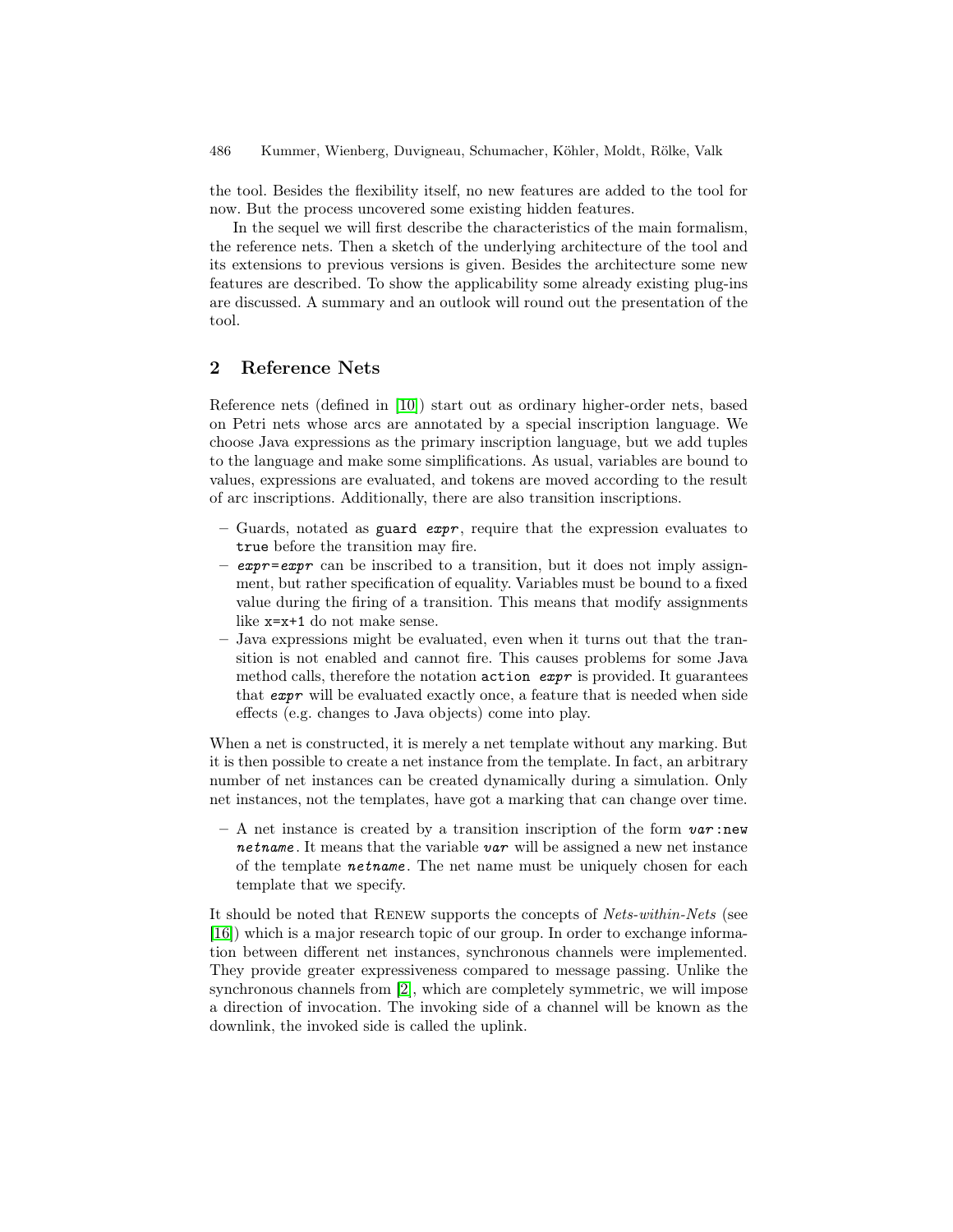the tool. Besides the flexibility itself, no new features are added to the tool for now. But the process uncovered some existing hidden features.

In the sequel we will first describe the characteristics of the main formalism, the reference nets. Then a sketch of the underlying architecture of the tool and its extensions to previous versions is given. Besides the architecture some new features are described. To show the applicability some already existing plug-ins are discussed. A summary and an outlook will round out the presentation of the tool.

# 2 Reference Nets

Reference nets (defined in [\[10\]](#page-9-2)) start out as ordinary higher-order nets, based on Petri nets whose arcs are annotated by a special inscription language. We choose Java expressions as the primary inscription language, but we add tuples to the language and make some simplifications. As usual, variables are bound to values, expressions are evaluated, and tokens are moved according to the result of arc inscriptions. Additionally, there are also transition inscriptions.

- Guards, notated as guard  $expr$ , require that the expression evaluates to true before the transition may fire.
- $\epsilon xpr = \epsilon xpr$  can be inscribed to a transition, but it does not imply assignment, but rather specification of equality. Variables must be bound to a fixed value during the firing of a transition. This means that modify assignments like x=x+1 do not make sense.
- Java expressions might be evaluated, even when it turns out that the transition is not enabled and cannot fire. This causes problems for some Java method calls, therefore the notation  $\epsilon \alpha p r$  is provided. It guarantees that  $\exp r$  will be evaluated exactly once, a feature that is needed when side effects (e.g. changes to Java objects) come into play.

When a net is constructed, it is merely a net template without any marking. But it is then possible to create a net instance from the template. In fact, an arbitrary number of net instances can be created dynamically during a simulation. Only net instances, not the templates, have got a marking that can change over time.

– A net instance is created by a transition inscription of the form  $var$ :new netname. It means that the variable var will be assigned a new net instance of the template netname . The net name must be uniquely chosen for each template that we specify.

It should be noted that RENEW supports the concepts of Nets-within-Nets (see [\[16\]](#page-9-3)) which is a major research topic of our group. In order to exchange information between different net instances, synchronous channels were implemented. They provide greater expressiveness compared to message passing. Unlike the synchronous channels from [\[2\]](#page-9-4), which are completely symmetric, we will impose a direction of invocation. The invoking side of a channel will be known as the downlink, the invoked side is called the uplink.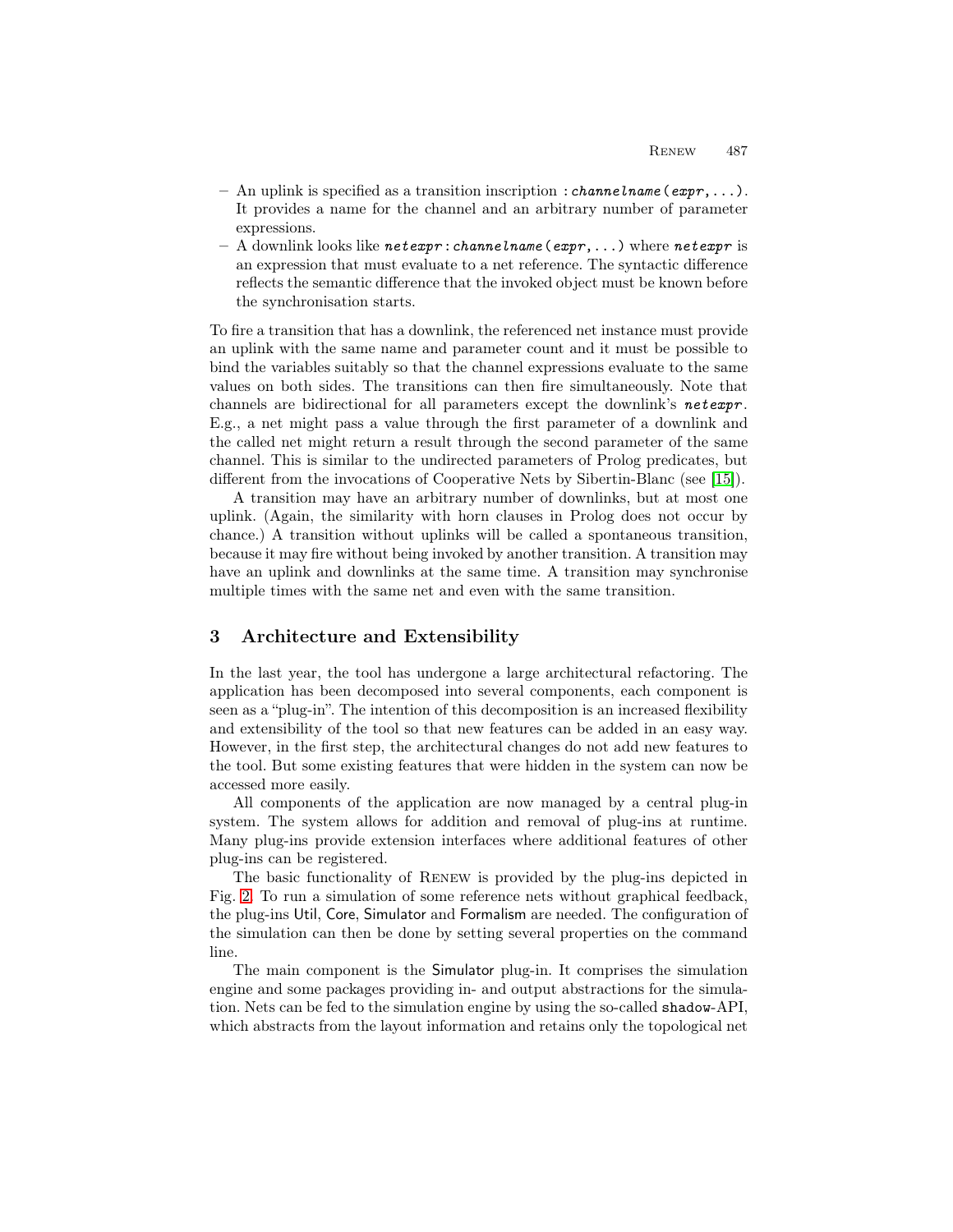- An uplink is specified as a transition inscription : *channelname* ( $exp r, \ldots$ ). It provides a name for the channel and an arbitrary number of parameter expressions.
- $-$  A downlink looks like netexpr: channelname (expr,...) where netexpr is an expression that must evaluate to a net reference. The syntactic difference reflects the semantic difference that the invoked object must be known before the synchronisation starts.

To fire a transition that has a downlink, the referenced net instance must provide an uplink with the same name and parameter count and it must be possible to bind the variables suitably so that the channel expressions evaluate to the same values on both sides. The transitions can then fire simultaneously. Note that channels are bidirectional for all parameters except the downlink's  $net\exp r$ . E.g., a net might pass a value through the first parameter of a downlink and the called net might return a result through the second parameter of the same channel. This is similar to the undirected parameters of Prolog predicates, but different from the invocations of Cooperative Nets by Sibertin-Blanc (see [\[15\]](#page-9-5)).

A transition may have an arbitrary number of downlinks, but at most one uplink. (Again, the similarity with horn clauses in Prolog does not occur by chance.) A transition without uplinks will be called a spontaneous transition, because it may fire without being invoked by another transition. A transition may have an uplink and downlinks at the same time. A transition may synchronise multiple times with the same net and even with the same transition.

## 3 Architecture and Extensibility

In the last year, the tool has undergone a large architectural refactoring. The application has been decomposed into several components, each component is seen as a "plug-in". The intention of this decomposition is an increased flexibility and extensibility of the tool so that new features can be added in an easy way. However, in the first step, the architectural changes do not add new features to the tool. But some existing features that were hidden in the system can now be accessed more easily.

All components of the application are now managed by a central plug-in system. The system allows for addition and removal of plug-ins at runtime. Many plug-ins provide extension interfaces where additional features of other plug-ins can be registered.

The basic functionality of Renew is provided by the plug-ins depicted in Fig. [2.](#page-4-0) To run a simulation of some reference nets without graphical feedback, the plug-ins Util, Core, Simulator and Formalism are needed. The configuration of the simulation can then be done by setting several properties on the command line.

The main component is the Simulator plug-in. It comprises the simulation engine and some packages providing in- and output abstractions for the simulation. Nets can be fed to the simulation engine by using the so-called shadow-API, which abstracts from the layout information and retains only the topological net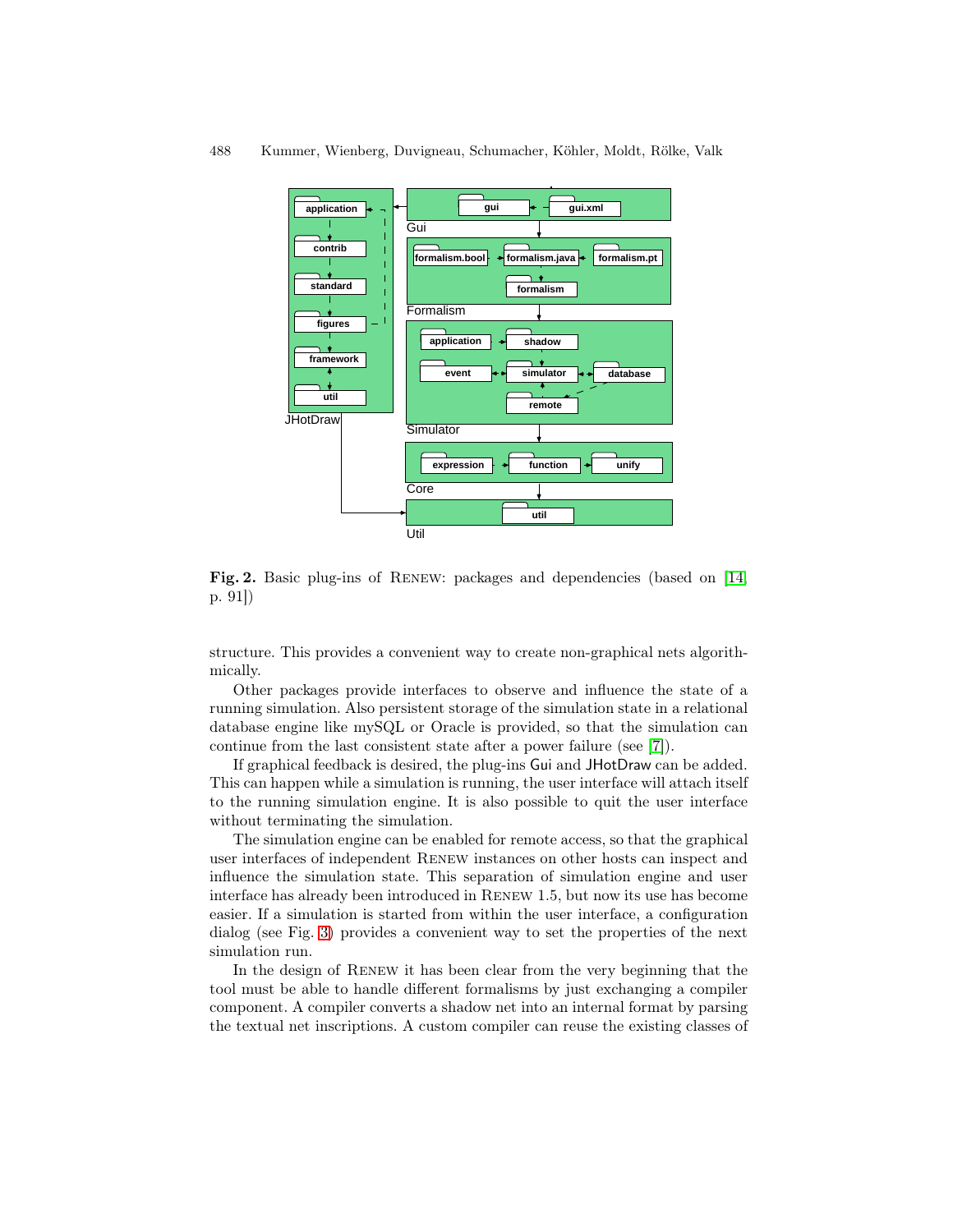

<span id="page-4-0"></span>Fig. 2. Basic plug-ins of RENEW: packages and dependencies (based on [\[14,](#page-9-1) p. 91])

structure. This provides a convenient way to create non-graphical nets algorithmically.

Other packages provide interfaces to observe and influence the state of a running simulation. Also persistent storage of the simulation state in a relational database engine like mySQL or Oracle is provided, so that the simulation can continue from the last consistent state after a power failure (see [\[7\]](#page-9-6)).

If graphical feedback is desired, the plug-ins Gui and JHotDraw can be added. This can happen while a simulation is running, the user interface will attach itself to the running simulation engine. It is also possible to quit the user interface without terminating the simulation.

The simulation engine can be enabled for remote access, so that the graphical user interfaces of independent Renew instances on other hosts can inspect and influence the simulation state. This separation of simulation engine and user interface has already been introduced in Renew 1.5, but now its use has become easier. If a simulation is started from within the user interface, a configuration dialog (see Fig. [3\)](#page-5-0) provides a convenient way to set the properties of the next simulation run.

In the design of Renew it has been clear from the very beginning that the tool must be able to handle different formalisms by just exchanging a compiler component. A compiler converts a shadow net into an internal format by parsing the textual net inscriptions. A custom compiler can reuse the existing classes of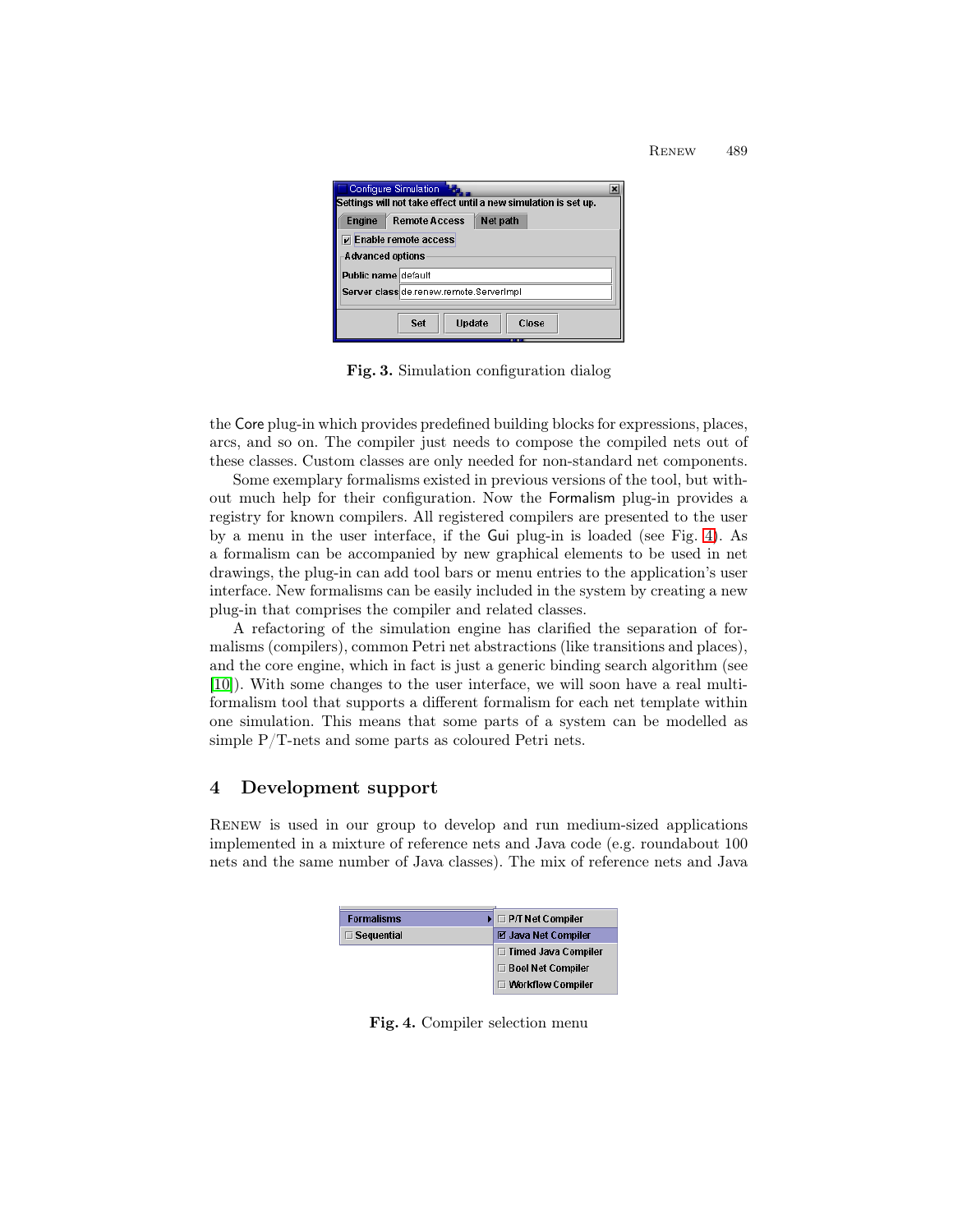#### Renew 489



Fig. 3. Simulation configuration dialog

<span id="page-5-0"></span>the Core plug-in which provides predefined building blocks for expressions, places, arcs, and so on. The compiler just needs to compose the compiled nets out of these classes. Custom classes are only needed for non-standard net components.

Some exemplary formalisms existed in previous versions of the tool, but without much help for their configuration. Now the Formalism plug-in provides a registry for known compilers. All registered compilers are presented to the user by a menu in the user interface, if the Gui plug-in is loaded (see Fig. [4\)](#page-5-1). As a formalism can be accompanied by new graphical elements to be used in net drawings, the plug-in can add tool bars or menu entries to the application's user interface. New formalisms can be easily included in the system by creating a new plug-in that comprises the compiler and related classes.

A refactoring of the simulation engine has clarified the separation of formalisms (compilers), common Petri net abstractions (like transitions and places), and the core engine, which in fact is just a generic binding search algorithm (see [\[10\]](#page-9-2)). With some changes to the user interface, we will soon have a real multiformalism tool that supports a different formalism for each net template within one simulation. This means that some parts of a system can be modelled as simple P/T-nets and some parts as coloured Petri nets.

## 4 Development support

Renew is used in our group to develop and run medium-sized applications implemented in a mixture of reference nets and Java code (e.g. roundabout 100 nets and the same number of Java classes). The mix of reference nets and Java

| $\blacktriangleright$ $\Box$ P/T Net Compiler |
|-----------------------------------------------|
| ■ Java Net Compiler                           |
| □ Timed Java Compiler                         |
| □ Bool Net Compiler                           |
| □ Workflow Compiler                           |
|                                               |

<span id="page-5-1"></span>Fig. 4. Compiler selection menu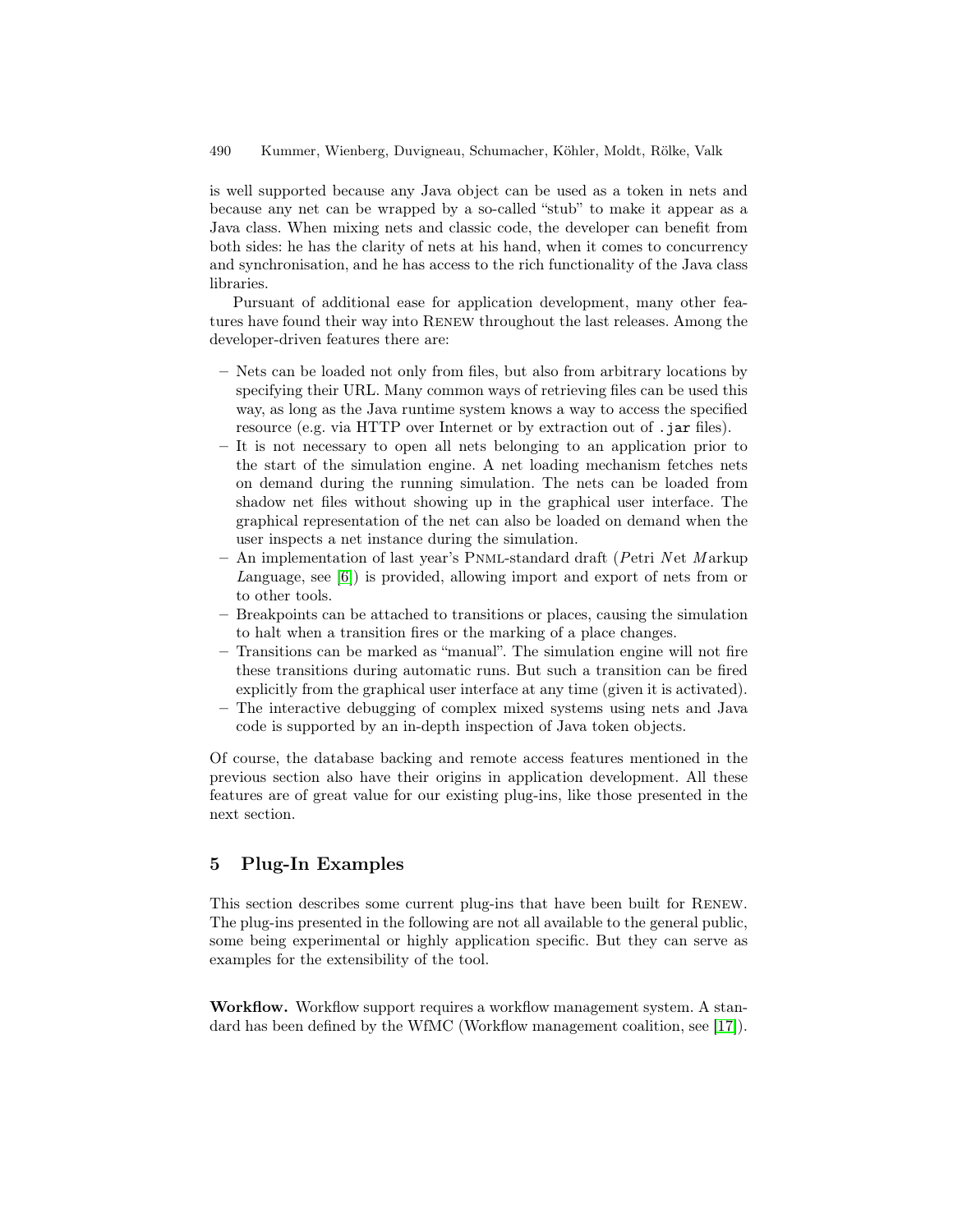is well supported because any Java object can be used as a token in nets and because any net can be wrapped by a so-called "stub" to make it appear as a Java class. When mixing nets and classic code, the developer can benefit from both sides: he has the clarity of nets at his hand, when it comes to concurrency and synchronisation, and he has access to the rich functionality of the Java class libraries.

Pursuant of additional ease for application development, many other features have found their way into Renew throughout the last releases. Among the developer-driven features there are:

- Nets can be loaded not only from files, but also from arbitrary locations by specifying their URL. Many common ways of retrieving files can be used this way, as long as the Java runtime system knows a way to access the specified resource (e.g. via HTTP over Internet or by extraction out of .jar files).
- It is not necessary to open all nets belonging to an application prior to the start of the simulation engine. A net loading mechanism fetches nets on demand during the running simulation. The nets can be loaded from shadow net files without showing up in the graphical user interface. The graphical representation of the net can also be loaded on demand when the user inspects a net instance during the simulation.
- $-$  An implementation of last year's PNML-standard draft (Petri Net Markup Language, see [\[6\]](#page-9-7)) is provided, allowing import and export of nets from or to other tools.
- Breakpoints can be attached to transitions or places, causing the simulation to halt when a transition fires or the marking of a place changes.
- Transitions can be marked as "manual". The simulation engine will not fire these transitions during automatic runs. But such a transition can be fired explicitly from the graphical user interface at any time (given it is activated).
- The interactive debugging of complex mixed systems using nets and Java code is supported by an in-depth inspection of Java token objects.

Of course, the database backing and remote access features mentioned in the previous section also have their origins in application development. All these features are of great value for our existing plug-ins, like those presented in the next section.

# 5 Plug-In Examples

This section describes some current plug-ins that have been built for Renew. The plug-ins presented in the following are not all available to the general public, some being experimental or highly application specific. But they can serve as examples for the extensibility of the tool.

Workflow. Workflow support requires a workflow management system. A stan-dard has been defined by the WfMC (Workflow management coalition, see [\[17\]](#page-9-8)).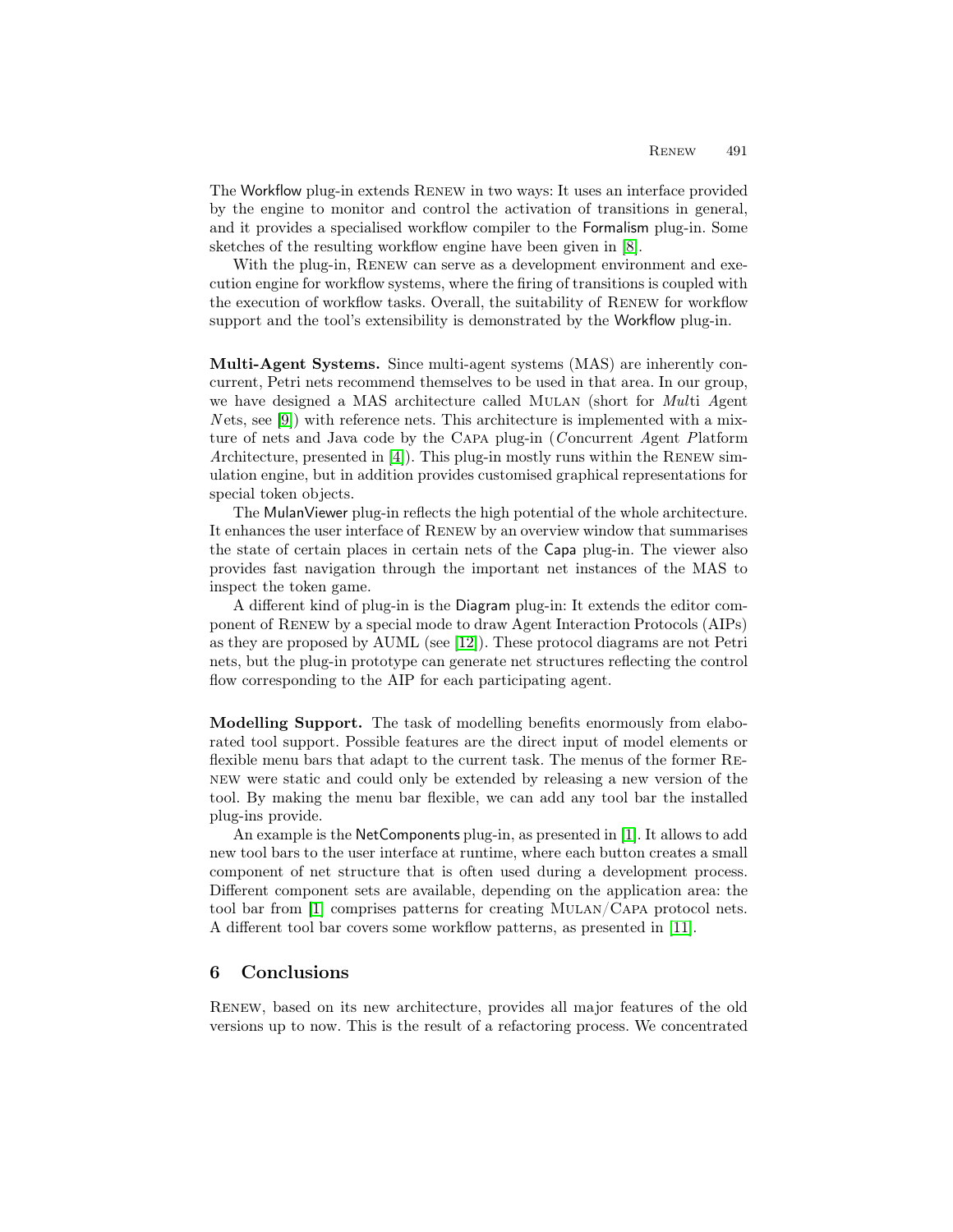The Workflow plug-in extends Renew in two ways: It uses an interface provided by the engine to monitor and control the activation of transitions in general, and it provides a specialised workflow compiler to the Formalism plug-in. Some sketches of the resulting workflow engine have been given in [\[8\]](#page-9-9).

With the plug-in, RENEW can serve as a development environment and execution engine for workflow systems, where the firing of transitions is coupled with the execution of workflow tasks. Overall, the suitability of Renew for workflow support and the tool's extensibility is demonstrated by the Workflow plug-in.

Multi-Agent Systems. Since multi-agent systems (MAS) are inherently concurrent, Petri nets recommend themselves to be used in that area. In our group, we have designed a MAS architecture called MULAN (short for *Multi Agent*  $Nets$ , see [\[9\]](#page-9-10)) with reference nets. This architecture is implemented with a mixture of nets and Java code by the Capa plug-in (Concurrent Agent Platform Architecture, presented in  $[4]$ ). This plug-in mostly runs within the RENEW simulation engine, but in addition provides customised graphical representations for special token objects.

The MulanViewer plug-in reflects the high potential of the whole architecture. It enhances the user interface of Renew by an overview window that summarises the state of certain places in certain nets of the Capa plug-in. The viewer also provides fast navigation through the important net instances of the MAS to inspect the token game.

A different kind of plug-in is the Diagram plug-in: It extends the editor component of Renew by a special mode to draw Agent Interaction Protocols (AIPs) as they are proposed by AUML (see [\[12\]](#page-9-12)). These protocol diagrams are not Petri nets, but the plug-in prototype can generate net structures reflecting the control flow corresponding to the AIP for each participating agent.

Modelling Support. The task of modelling benefits enormously from elaborated tool support. Possible features are the direct input of model elements or flexible menu bars that adapt to the current task. The menus of the former Renew were static and could only be extended by releasing a new version of the tool. By making the menu bar flexible, we can add any tool bar the installed plug-ins provide.

An example is the NetComponents plug-in, as presented in [\[1\]](#page-8-1). It allows to add new tool bars to the user interface at runtime, where each button creates a small component of net structure that is often used during a development process. Different component sets are available, depending on the application area: the tool bar from [\[1\]](#page-8-1) comprises patterns for creating Mulan/Capa protocol nets. A different tool bar covers some workflow patterns, as presented in [\[11\]](#page-9-13).

### 6 Conclusions

Renew, based on its new architecture, provides all major features of the old versions up to now. This is the result of a refactoring process. We concentrated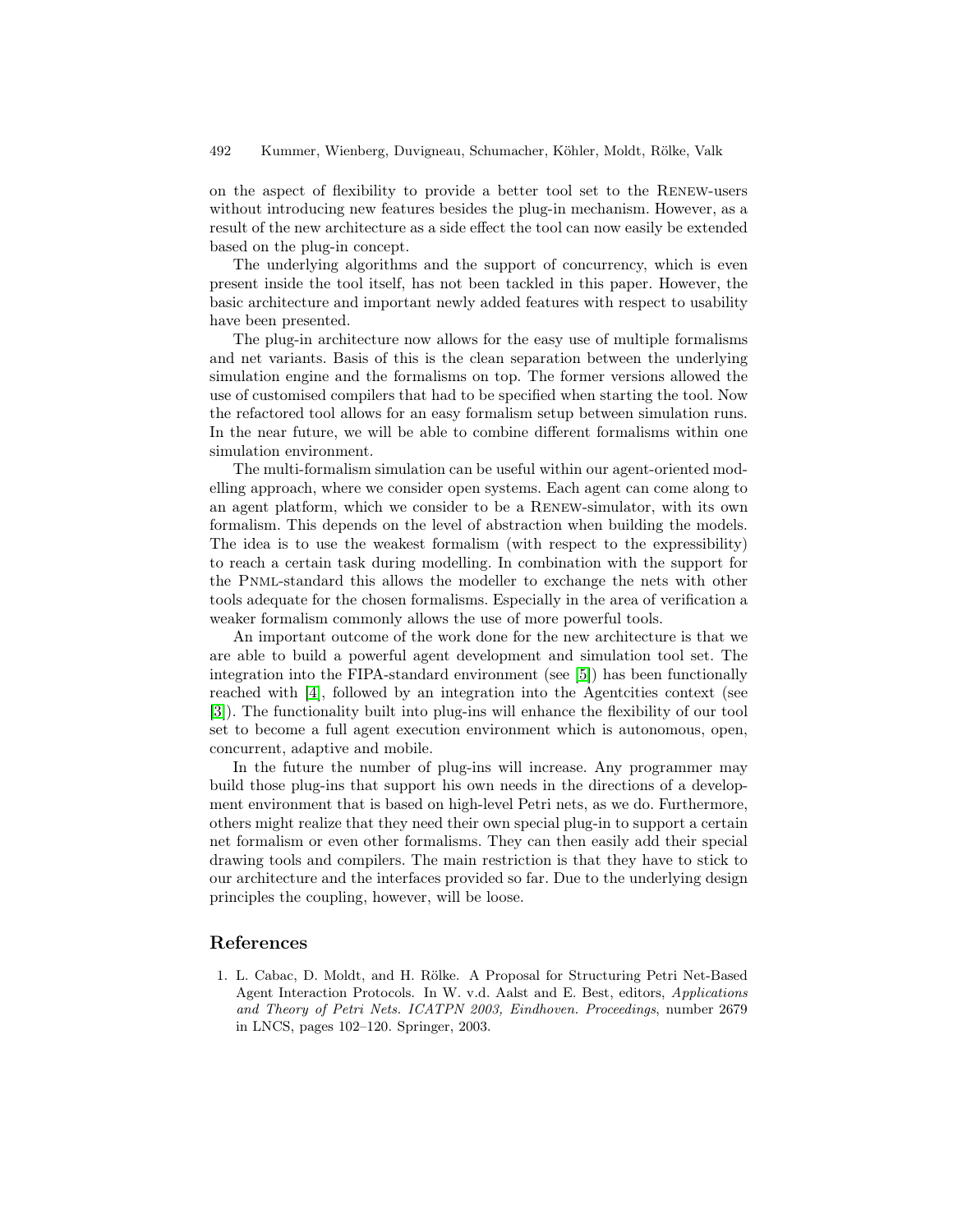on the aspect of flexibility to provide a better tool set to the Renew-users without introducing new features besides the plug-in mechanism. However, as a result of the new architecture as a side effect the tool can now easily be extended based on the plug-in concept.

The underlying algorithms and the support of concurrency, which is even present inside the tool itself, has not been tackled in this paper. However, the basic architecture and important newly added features with respect to usability have been presented.

The plug-in architecture now allows for the easy use of multiple formalisms and net variants. Basis of this is the clean separation between the underlying simulation engine and the formalisms on top. The former versions allowed the use of customised compilers that had to be specified when starting the tool. Now the refactored tool allows for an easy formalism setup between simulation runs. In the near future, we will be able to combine different formalisms within one simulation environment.

The multi-formalism simulation can be useful within our agent-oriented modelling approach, where we consider open systems. Each agent can come along to an agent platform, which we consider to be a Renew-simulator, with its own formalism. This depends on the level of abstraction when building the models. The idea is to use the weakest formalism (with respect to the expressibility) to reach a certain task during modelling. In combination with the support for the Pnml-standard this allows the modeller to exchange the nets with other tools adequate for the chosen formalisms. Especially in the area of verification a weaker formalism commonly allows the use of more powerful tools.

An important outcome of the work done for the new architecture is that we are able to build a powerful agent development and simulation tool set. The integration into the FIPA-standard environment (see [\[5\]](#page-9-14)) has been functionally reached with [\[4\]](#page-9-11), followed by an integration into the Agentcities context (see [\[3\]](#page-9-15)). The functionality built into plug-ins will enhance the flexibility of our tool set to become a full agent execution environment which is autonomous, open, concurrent, adaptive and mobile.

In the future the number of plug-ins will increase. Any programmer may build those plug-ins that support his own needs in the directions of a development environment that is based on high-level Petri nets, as we do. Furthermore, others might realize that they need their own special plug-in to support a certain net formalism or even other formalisms. They can then easily add their special drawing tools and compilers. The main restriction is that they have to stick to our architecture and the interfaces provided so far. Due to the underlying design principles the coupling, however, will be loose.

### <span id="page-8-0"></span>References

<span id="page-8-1"></span>1. L. Cabac, D. Moldt, and H. Rölke. A Proposal for Structuring Petri Net-Based Agent Interaction Protocols. In W. v.d. Aalst and E. Best, editors, Applications and Theory of Petri Nets. ICATPN 2003, Eindhoven. Proceedings, number 2679 in LNCS, pages 102–120. Springer, 2003.